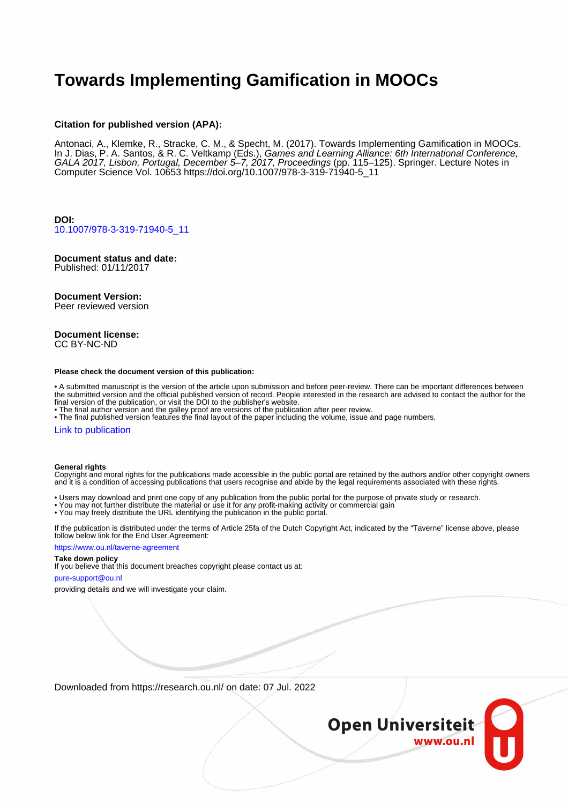# **Towards Implementing Gamification in MOOCs**

## **Citation for published version (APA):**

Antonaci, A., Klemke, R., Stracke, C. M., & Specht, M. (2017). Towards Implementing Gamification in MOOCs. In J. Dias, P. A. Santos, & R. C. Veltkamp (Eds.), Games and Learning Alliance: 6th International Conference, GALA 2017, Lisbon, Portugal, December 5–7, 2017, Proceedings (pp. 115–125). Springer. Lecture Notes in Computer Science Vol. 10653 [https://doi.org/10.1007/978-3-319-71940-5\\_11](https://doi.org/10.1007/978-3-319-71940-5_11)

**DOI:** [10.1007/978-3-319-71940-5\\_11](https://doi.org/10.1007/978-3-319-71940-5_11)

# **Document status and date:**

Published: 01/11/2017

## **Document Version:**

Peer reviewed version

#### **Document license:** CC BY-NC-ND

#### **Please check the document version of this publication:**

• A submitted manuscript is the version of the article upon submission and before peer-review. There can be important differences between the submitted version and the official published version of record. People interested in the research are advised to contact the author for the final version of the publication, or visit the DOI to the publisher's website.

• The final author version and the galley proof are versions of the publication after peer review.

• The final published version features the final layout of the paper including the volume, issue and page numbers.

#### [Link to publication](https://research.ou.nl/en/publications/339c05a2-1364-4af1-a76a-22a6673e150c)

#### **General rights**

Copyright and moral rights for the publications made accessible in the public portal are retained by the authors and/or other copyright owners and it is a condition of accessing publications that users recognise and abide by the legal requirements associated with these rights.

- Users may download and print one copy of any publication from the public portal for the purpose of private study or research.
- You may not further distribute the material or use it for any profit-making activity or commercial gain
- You may freely distribute the URL identifying the publication in the public portal.

If the publication is distributed under the terms of Article 25fa of the Dutch Copyright Act, indicated by the "Taverne" license above, please follow below link for the End User Agreement:

#### https://www.ou.nl/taverne-agreement

# **Take down policy**

If you believe that this document breaches copyright please contact us at:

#### pure-support@ou.nl

providing details and we will investigate your claim.

Downloaded from https://research.ou.nl/ on date: 07 Jul. 2022

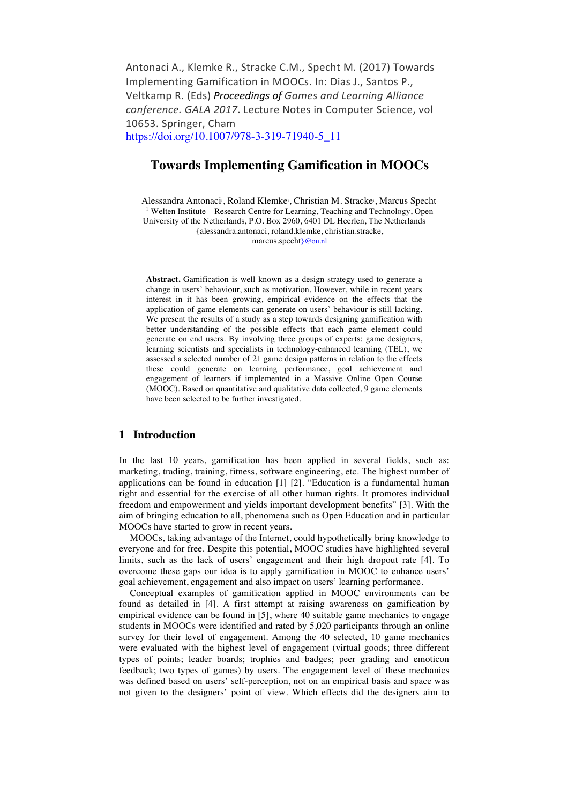Antonaci A., Klemke R., Stracke C.M., Specht M. (2017) Towards Implementing Gamification in MOOCs. In: Dias J., Santos P., Veltkamp R. (Eds) *Proceedings of Games and Learning Alliance conference. GALA 2017.* Lecture Notes in Computer Science, vol 10653. Springer, Cham https://doi.org/10.1007/978-3-319-71940-5\_11

# **Towards Implementing Gamification in MOOCs**

Alessandra Antonaci<sup>,</sup>, Roland Klemke<sup>,</sup>, Christian M. Stracke, Marcus Specht<sup>,</sup> <sup>1</sup> Welten Institute – Research Centre for Learning, Teaching and Technology, Open University of the Netherlands, P.O. Box 2960, 6401 DL Heerlen, The Netherlands {alessandra.antonaci, roland.klemke, christian.stracke,

marcus.specht}@ou.nl

**Abstract.** Gamification is well known as a design strategy used to generate a change in users' behaviour, such as motivation. However, while in recent years interest in it has been growing, empirical evidence on the effects that the application of game elements can generate on users' behaviour is still lacking. We present the results of a study as a step towards designing gamification with better understanding of the possible effects that each game element could generate on end users. By involving three groups of experts: game designers, learning scientists and specialists in technology-enhanced learning (TEL), we assessed a selected number of 21 game design patterns in relation to the effects these could generate on learning performance, goal achievement and engagement of learners if implemented in a Massive Online Open Course (MOOC). Based on quantitative and qualitative data collected, 9 game elements have been selected to be further investigated.

# **1 Introduction**

In the last 10 years, gamification has been applied in several fields, such as: marketing, trading, training, fitness, software engineering, etc. The highest number of applications can be found in education [1] [2]. "Education is a fundamental human right and essential for the exercise of all other human rights. It promotes individual freedom and empowerment and yields important development benefits" [3]. With the aim of bringing education to all, phenomena such as Open Education and in particular MOOCs have started to grow in recent years.

MOOCs, taking advantage of the Internet, could hypothetically bring knowledge to everyone and for free. Despite this potential, MOOC studies have highlighted several limits, such as the lack of users' engagement and their high dropout rate [4]. To overcome these gaps our idea is to apply gamification in MOOC to enhance users' goal achievement, engagement and also impact on users' learning performance.

Conceptual examples of gamification applied in MOOC environments can be found as detailed in [4]. A first attempt at raising awareness on gamification by empirical evidence can be found in [5], where 40 suitable game mechanics to engage students in MOOCs were identified and rated by 5,020 participants through an online survey for their level of engagement. Among the 40 selected, 10 game mechanics were evaluated with the highest level of engagement (virtual goods; three different types of points; leader boards; trophies and badges; peer grading and emoticon feedback; two types of games) by users. The engagement level of these mechanics was defined based on users' self-perception, not on an empirical basis and space was not given to the designers' point of view. Which effects did the designers aim to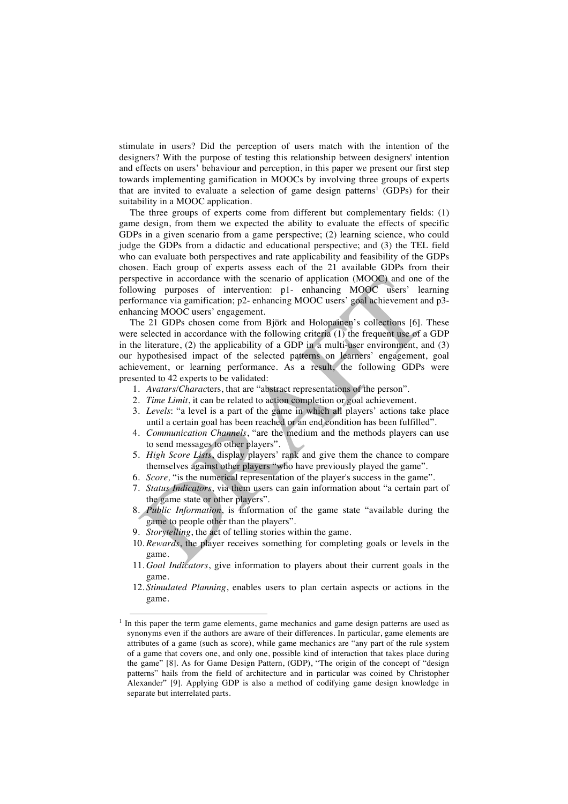stimulate in users? Did the perception of users match with the intention of the designers? With the purpose of testing this relationship between designers' intention and effects on users' behaviour and perception, in this paper we present our first step towards implementing gamification in MOOCs by involving three groups of experts that are invited to evaluate a selection of game design patterns<sup>1</sup> (GDPs) for their suitability in a MOOC application.

The three groups of experts come from different but complementary fields: (1) game design, from them we expected the ability to evaluate the effects of specific GDPs in a given scenario from a game perspective; (2) learning science, who could judge the GDPs from a didactic and educational perspective; and (3) the TEL field who can evaluate both perspectives and rate applicability and feasibility of the GDPs chosen. Each group of experts assess each of the 21 available GDPs from their perspective in accordance with the scenario of application (MOOC) and one of the following purposes of intervention: p1- enhancing MOOC users' learning performance via gamification; p2- enhancing MOOC users' goal achievement and p3 enhancing MOOC users' engagement.

The 21 GDPs chosen come from Björk and Holopainen's collections [6]. These were selected in accordance with the following criteria (1) the frequent use of a GDP in the literature, (2) the applicability of a GDP in a multi-user environment, and (3) our hypothesised impact of the selected patterns on learners' engagement, goal achievement, or learning performance. As a result, the following GDPs were presented to 42 experts to be validated:

- 1. *Avatars/Charac*ters, that are "abstract representations of the person".
- 2. *Time Limit*, it can be related to action completion or goal achievement.
- 3. *Levels*: "a level is a part of the game in which all players' actions take place until a certain goal has been reached or an end condition has been fulfilled".
- 4. *Communication Channels*, "are the medium and the methods players can use to send messages to other players".
- 5. *High Score Lists*, display players' rank and give them the chance to compare themselves against other players "who have previously played the game".
- 6. *Score,* "is the numerical representation of the player's success in the game".
- 7. *Status Indicators*, via them users can gain information about "a certain part of the game state or other players".
- 8. *Public Information*, is information of the game state "available during the game to people other than the players".
- 9. *Storytelling*, the act of telling stories within the game.
- 10. *Rewards*, the player receives something for completing goals or levels in the game.
- 11. *Goal Indicators*, give information to players about their current goals in the game.
- 12. *Stimulated Planning*, enables users to plan certain aspects or actions in the game.

<sup>&</sup>lt;sup>1</sup> In this paper the term game elements, game mechanics and game design patterns are used as synonyms even if the authors are aware of their differences. In particular, game elements are attributes of a game (such as score), while game mechanics are "any part of the rule system of a game that covers one, and only one, possible kind of interaction that takes place during the game" [8]. As for Game Design Pattern, (GDP), "The origin of the concept of "design patterns" hails from the field of architecture and in particular was coined by Christopher Alexander" [9]. Applying GDP is also a method of codifying game design knowledge in separate but interrelated parts.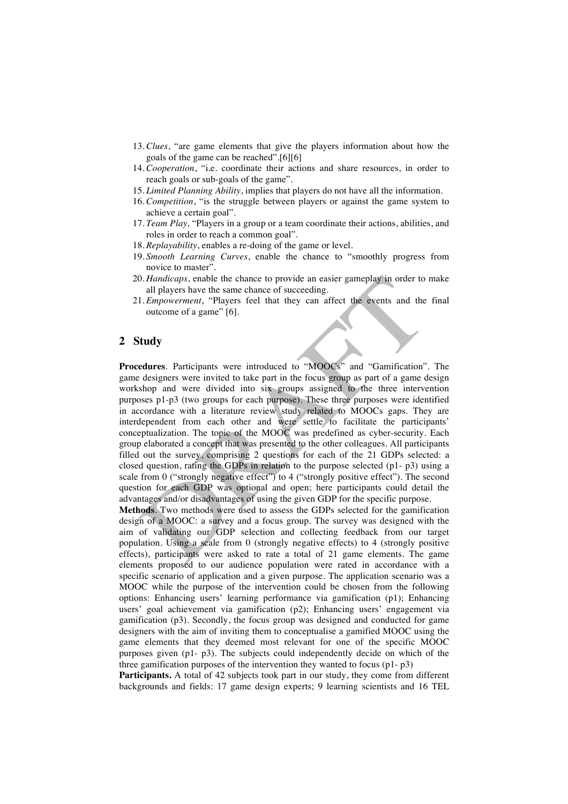- 13. *Clues*, "are game elements that give the players information about how the goals of the game can be reached".[6][6]
- 14. *Cooperation*, "i.e. coordinate their actions and share resources, in order to reach goals or sub-goals of the game".
- 15. *Limited Planning Ability*, implies that players do not have all the information.
- 16. *Competition*, "is the struggle between players or against the game system to achieve a certain goal".
- 17. *Team Play,* "Players in a group or a team coordinate their actions, abilities, and roles in order to reach a common goal".
- 18. *Replayability*, enables a re-doing of the game or level.
- 19. *Smooth Learning Curves*, enable the chance to "smoothly progress from novice to master".
- 20. *Handicaps*, enable the chance to provide an easier gameplay in order to make all players have the same chance of succeeding.
- 21. *Empowerment*, "Players feel that they can affect the events and the final outcome of a game" [6].

# **2 Study**

**Procedures**. Participants were introduced to "MOOCs" and "Gamification". The game designers were invited to take part in the focus group as part of a game design workshop and were divided into six groups assigned to the three intervention purposes p1-p3 (two groups for each purpose). These three purposes were identified in accordance with a literature review study related to MOOCs gaps. They are interdependent from each other and were settle to facilitate the participants' conceptualization. The topic of the MOOC was predefined as cyber-security. Each group elaborated a concept that was presented to the other colleagues. All participants filled out the survey, comprising 2 questions for each of the 21 GDPs selected: a closed question, rating the GDPs in relation to the purpose selected  $(p1-p3)$  using a scale from 0 ("strongly negative effect") to 4 ("strongly positive effect"). The second question for each GDP was optional and open; here participants could detail the advantages and/or disadvantages of using the given GDP for the specific purpose.

**Methods**. Two methods were used to assess the GDPs selected for the gamification design of a MOOC: a survey and a focus group. The survey was designed with the aim of validating our GDP selection and collecting feedback from our target population. Using a scale from 0 (strongly negative effects) to 4 (strongly positive effects), participants were asked to rate a total of 21 game elements. The game elements proposed to our audience population were rated in accordance with a specific scenario of application and a given purpose. The application scenario was a MOOC while the purpose of the intervention could be chosen from the following options: Enhancing users' learning performance via gamification (p1); Enhancing users' goal achievement via gamification (p2); Enhancing users' engagement via gamification (p3). Secondly, the focus group was designed and conducted for game designers with the aim of inviting them to conceptualise a gamified MOOC using the game elements that they deemed most relevant for one of the specific MOOC purposes given (p1- p3). The subjects could independently decide on which of the three gamification purposes of the intervention they wanted to focus (p1- p3)

**Participants.** A total of 42 subjects took part in our study, they come from different backgrounds and fields: 17 game design experts; 9 learning scientists and 16 TEL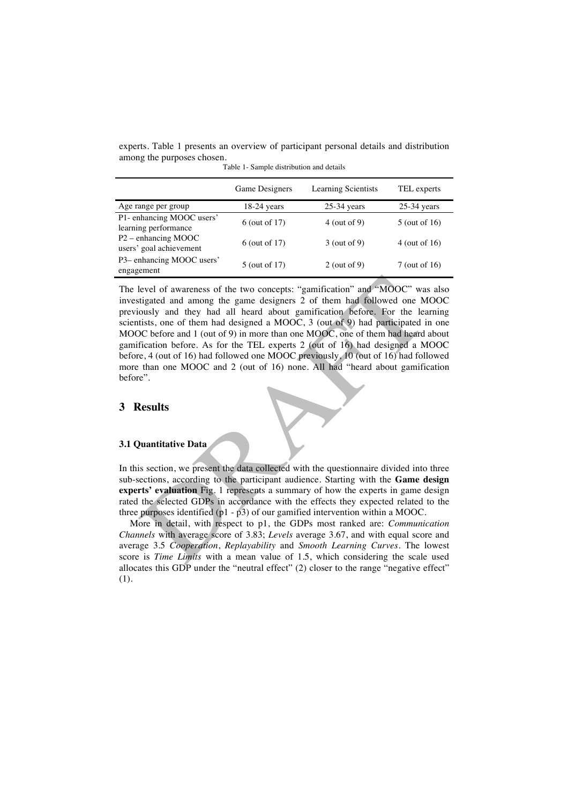experts. Table 1 presents an overview of participant personal details and distribution among the purposes chosen.

|                                                            | Game Designers | <b>Learning Scientists</b> | TEL experts     |
|------------------------------------------------------------|----------------|----------------------------|-----------------|
| Age range per group                                        | $18-24$ years  | $25-34$ years              | $25-34$ years   |
| P1- enhancing MOOC users'<br>learning performance          | 6 (out of 17)  | $4$ (out of 9)             | 5 (out of 16)   |
| P <sub>2</sub> – enhancing MOOC<br>users' goal achievement | 6 (out of 17)  | 3 (out of 9)               | $4$ (out of 16) |
| P3-enhancing MOOC users'<br>engagement                     | 5 (out of 17)  | $2$ (out of 9)             | 7 (out of 16)   |

| Table 1- Sample distribution and details |  |  |  |
|------------------------------------------|--|--|--|
|------------------------------------------|--|--|--|

The level of awareness of the two concepts: "gamification" and "MOOC" was also investigated and among the game designers 2 of them had followed one MOOC previously and they had all heard about gamification before. For the learning scientists, one of them had designed a MOOC, 3 (out of 9) had participated in one MOOC before and 1 (out of 9) in more than one MOOC, one of them had heard about gamification before. As for the TEL experts 2 (out of 16) had designed a MOOC before, 4 (out of 16) had followed one MOOC previously, 10 (out of 16) had followed more than one MOOC and 2 (out of 16) none. All had "heard about gamification before".

# **3 Results**

### **3.1 Quantitative Data**

In this section, we present the data collected with the questionnaire divided into three sub-sections, according to the participant audience. Starting with the **Game design experts' evaluation** Fig. 1 represents a summary of how the experts in game design rated the selected GDPs in accordance with the effects they expected related to the three purposes identified (p1 - p3) of our gamified intervention within a MOOC.

More in detail, with respect to p1, the GDPs most ranked are: *Communication Channels* with average score of 3.83; *Levels* average 3.67, and with equal score and average 3.5 *Cooperation*, *Replayability* and *Smooth Learning Curves*. The lowest score is *Time Limits* with a mean value of 1.5, which considering the scale used allocates this GDP under the "neutral effect" (2) closer to the range "negative effect" (1).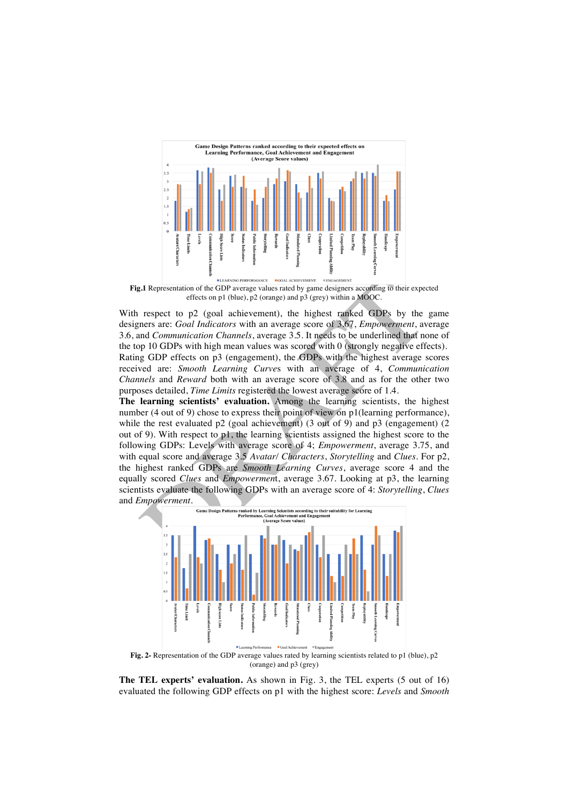

**Fig.1** Representation of the GDP average values rated by game designers according to their expected effects on p1 (blue), p2 (orange) and p3 (grey) within a MOOC.

With respect to p2 (goal achievement), the highest ranked GDPs by the game designers are: *Goal Indicators* with an average score of 3.67, *Empowerment*, average 3.6, and *Communication Channels*, average 3.5. It needs to be underlined that none of the top 10 GDPs with high mean values was scored with 0 (strongly negative effects). Rating GDP effects on p3 (engagement), the GDPs with the highest average scores received are: *Smooth Learning Curve*s with an average of 4, *Communication Channels* and *Reward* both with an average score of 3.8 and as for the other two purposes detailed, *Time Limits* registered the lowest average score of 1.4.

**The learning scientists' evaluation.** Among the learning scientists, the highest number (4 out of 9) chose to express their point of view on p1(learning performance), while the rest evaluated  $p2$  (goal achievement) (3 out of 9) and  $p3$  (engagement) (2) out of 9). With respect to p1, the learning scientists assigned the highest score to the following GDPs: Levels with average score of 4; *Empowerment*, average 3.75, and with equal score and average 3.5 *Avatar/ Characters*, *Storytelling* and *Clues*. For p2, the highest ranked GDPs are *Smooth Learning Curves*, average score 4 and the equally scored *Clues* and *Empowermen*t, average 3.67. Looking at p3, the learning scientists evaluate the following GDPs with an average score of 4: *Storytelling*, *Clues* and *Empowerment*.



(orange) and p3 (grey)

**The TEL experts' evaluation.** As shown in Fig. 3, the TEL experts (5 out of 16) evaluated the following GDP effects on p1 with the highest score: *Levels* and *Smooth*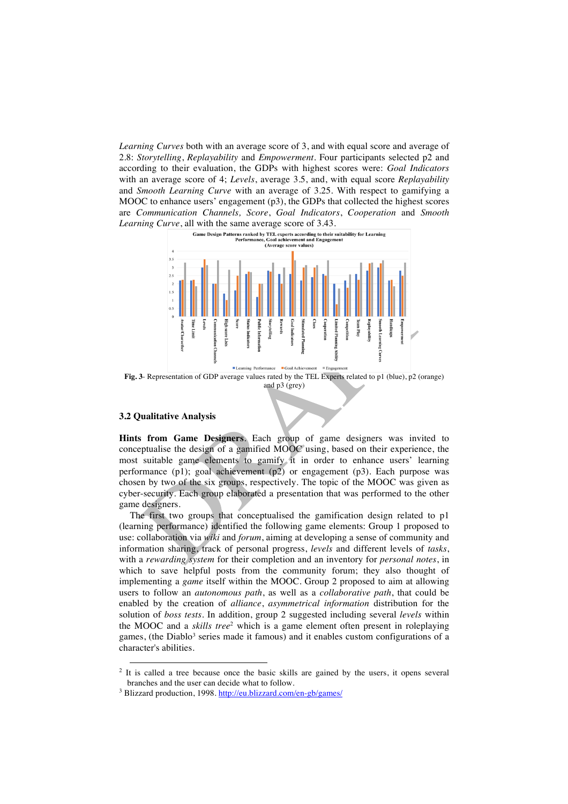*Learning Curves* both with an average score of 3, and with equal score and average of 2.8: *Storytelling*, *Replayability* and *Empowerment.* Four participants selected p2 and according to their evaluation, the GDPs with highest scores were: *Goal Indicators*  with an average score of 4; *Levels*, average 3.5, and, with equal score *Replayability* and *Smooth Learning Curve* with an average of 3.25. With respect to gamifying a MOOC to enhance users' engagement (p3), the GDPs that collected the highest scores are *Communication Channels, Score*, *Goal Indicators*, *Cooperation* and *Smooth* 



**Fig. 3**- Representation of GDP average values rated by the TEL Experts related to p1 (blue), p2 (orange) and p3 (grey)

# **3.2 Qualitative Analysis**

**Hints from Game Designers**. Each group of game designers was invited to conceptualise the design of a gamified MOOC using, based on their experience, the most suitable game elements to gamify it in order to enhance users' learning performance (p1); goal achievement (p2) or engagement (p3). Each purpose was chosen by two of the six groups, respectively. The topic of the MOOC was given as cyber-security. Each group elaborated a presentation that was performed to the other game designers.

The first two groups that conceptualised the gamification design related to p1 (learning performance) identified the following game elements: Group 1 proposed to use: collaboration via *wiki* and *forum*, aiming at developing a sense of community and information sharing, track of personal progress, *levels* and different levels of *tasks*, with a *rewarding system* for their completion and an inventory for *personal notes*, in which to save helpful posts from the community forum; they also thought of implementing a *game* itself within the MOOC. Group 2 proposed to aim at allowing users to follow an *autonomous path*, as well as a *collaborative path*, that could be enabled by the creation of *alliance*, *asymmetrical information* distribution for the solution of *boss tests*. In addition, group 2 suggested including several *levels* within the MOOC and a *skills tree*<sup>2</sup> which is a game element often present in roleplaying games, (the Diablo<sup>3</sup> series made it famous) and it enables custom configurations of a character's abilities.

<sup>&</sup>lt;sup>2</sup> It is called a tree because once the basic skills are gained by the users, it opens several branches and the user can decide what to follow.

<sup>&</sup>lt;sup>3</sup> Blizzard production, 1998. http://eu.blizzard.com/en-gb/games/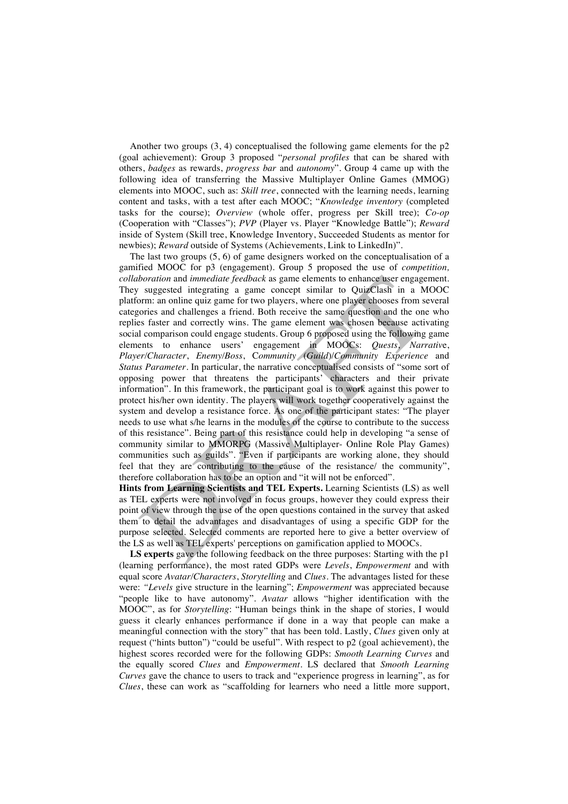Another two groups (3, 4) conceptualised the following game elements for the p2 (goal achievement): Group 3 proposed "*personal profiles* that can be shared with others, *badges* as rewards, *progress bar* and *autonomy*". Group 4 came up with the following idea of transferring the Massive Multiplayer Online Games (MMOG) elements into MOOC, such as: *Skill tree*, connected with the learning needs, learning content and tasks, with a test after each MOOC; "*Knowledge inventory* (completed tasks for the course); *Overview* (whole offer, progress per Skill tree); *Co-op* (Cooperation with "Classes"); *PVP* (Player vs. Player "Knowledge Battle"); *Reward* inside of System (Skill tree, Knowledge Inventory, Succeeded Students as mentor for newbies); *Reward* outside of Systems (Achievements, Link to LinkedIn)".

The last two groups (5, 6) of game designers worked on the conceptualisation of a gamified MOOC for p3 (engagement). Group 5 proposed the use of *competition, collaboration* and *immediate feedback* as game elements to enhance user engagement. They suggested integrating a game concept similar to QuizClash in a MOOC platform: an online quiz game for two players, where one player chooses from several categories and challenges a friend. Both receive the same question and the one who replies faster and correctly wins. The game element was chosen because activating social comparison could engage students. Group 6 proposed using the following game elements to enhance users' engagement in MOOCs: *Quests*, *Narrativ*e, *Player/Character*, *Enemy/Boss*, C*ommunity* (*Guild*)/*Community Experience* and *Status Parameter*. In particular, the narrative conceptualised consists of "some sort of opposing power that threatens the participants' characters and their private information". In this framework, the participant goal is to work against this power to protect his/her own identity. The players will work together cooperatively against the system and develop a resistance force. As one of the participant states: "The player needs to use what s/he learns in the modules of the course to contribute to the success of this resistance". Being part of this resistance could help in developing "a sense of community similar to MMORPG (Massive Multiplayer- Online Role Play Games) communities such as guilds". "Even if participants are working alone, they should feel that they are contributing to the cause of the resistance/ the community", therefore collaboration has to be an option and "it will not be enforced".

**Hints from Learning Scientists and TEL Experts.** Learning Scientists (LS) as well as TEL experts were not involved in focus groups, however they could express their point of view through the use of the open questions contained in the survey that asked them to detail the advantages and disadvantages of using a specific GDP for the purpose selected. Selected comments are reported here to give a better overview of the LS as well as TEL experts' perceptions on gamification applied to MOOCs.

**LS experts** gave the following feedback on the three purposes: Starting with the p1 (learning performance), the most rated GDPs were *Levels*, *Empowerment* and with equal score *Avatar/Characters*, *Storytelling* and *Clues*. The advantages listed for these were: *"Levels* give structure in the learning"; *Empowerment* was appreciated because "people like to have autonomy". *Avatar* allows "higher identification with the MOOC", as for *Storytelling*: "Human beings think in the shape of stories, I would guess it clearly enhances performance if done in a way that people can make a meaningful connection with the story" that has been told. Lastly, *Clues* given only at request ("hints button") "could be useful". With respect to p2 (goal achievement), the highest scores recorded were for the following GDPs: *Smooth Learning Curves* and the equally scored *Clues* and *Empowerment*. LS declared that *Smooth Learning Curves* gave the chance to users to track and "experience progress in learning", as for *Clues*, these can work as "scaffolding for learners who need a little more support,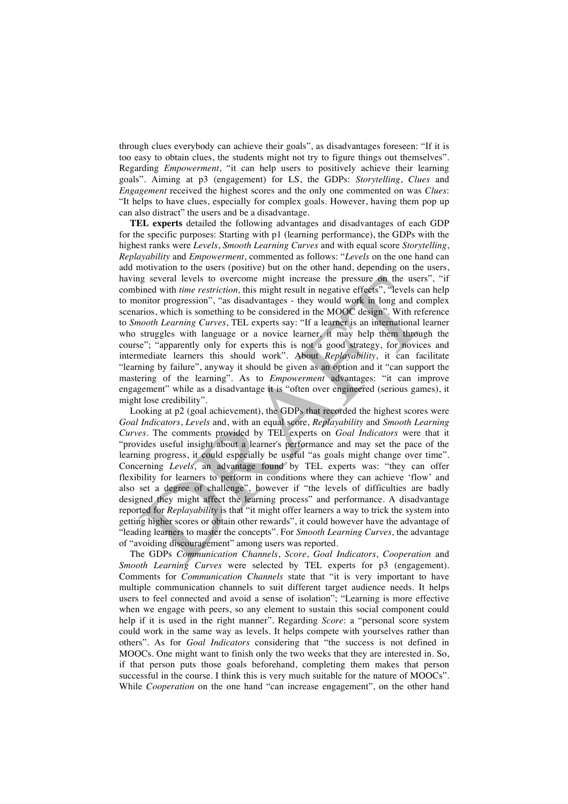through clues everybody can achieve their goals", as disadvantages foreseen: "If it is too easy to obtain clues, the students might not try to figure things out themselves". Regarding *Empowerment*, "it can help users to positively achieve their learning goals". Aiming at p3 (engagement) for LS, the GDPs: *Storytelling*, *Clues* and *Engagement* received the highest scores and the only one commented on was *Clues*: "It helps to have clues, especially for complex goals. However, having them pop up can also distract" the users and be a disadvantage.

**TEL experts** detailed the following advantages and disadvantages of each GDP for the specific purposes: Starting with p1 (learning performance), the GDPs with the highest ranks were *Levels*, *Smooth Learning Curves* and with equal score *Storytelling*, *Replayability* and *Empowerment*, commented as follows: "*Levels* on the one hand can add motivation to the users (positive) but on the other hand, depending on the users, having several levels to overcome might increase the pressure on the users", "if combined with *time restriction,* this might result in negative effects", "levels can help to monitor progression", "as disadvantages - they would work in long and complex scenarios, which is something to be considered in the MOOC design". With reference to *Smooth Learning Curves*, TEL experts say: "If a learner is an international learner who struggles with language or a novice learner, it may help them through the course"; "apparently only for experts this is not a good strategy, for novices and intermediate learners this should work". About *Replayability*, it can facilitate "learning by failure", anyway it should be given as an option and it "can support the mastering of the learning". As to *Empowerment* advantages: "it can improve engagement" while as a disadvantage it is "often over engineered (serious games), it might lose credibility".

Looking at p2 (goal achievement), the GDPs that recorded the highest scores were *Goal Indicators*, *Levels* and, with an equal score, *Replayability* and *Smooth Learning Curves*. The comments provided by TEL experts on *Goal Indicators* were that it "provides useful insight about a learner's performance and may set the pace of the learning progress, it could especially be useful "as goals might change over time". Concerning *Levels*, an advantage found by TEL experts was: "they can offer flexibility for learners to perform in conditions where they can achieve 'flow' and also set a degree of challenge", however if "the levels of difficulties are badly designed they might affect the learning process" and performance. A disadvantage reported for *Replayability* is that "it might offer learners a way to trick the system into getting higher scores or obtain other rewards", it could however have the advantage of "leading learners to master the concepts". For *Smooth Learning Curves,* the advantage of "avoiding discouragement" among users was reported.

The GDPs *Communication Channels*, *Score*, *Goal Indicators*, *Cooperation* and *Smooth Learning Curves* were selected by TEL experts for p3 (engagement). Comments for *Communication Channels* state that "it is very important to have multiple communication channels to suit different target audience needs. It helps users to feel connected and avoid a sense of isolation"; "Learning is more effective when we engage with peers, so any element to sustain this social component could help if it is used in the right manner". Regarding *Score*: a "personal score system could work in the same way as levels. It helps compete with yourselves rather than others". As for *Goal Indicators* considering that "the success is not defined in MOOCs. One might want to finish only the two weeks that they are interested in. So, if that person puts those goals beforehand, completing them makes that person successful in the course. I think this is very much suitable for the nature of MOOCs". While *Cooperation* on the one hand "can increase engagement", on the other hand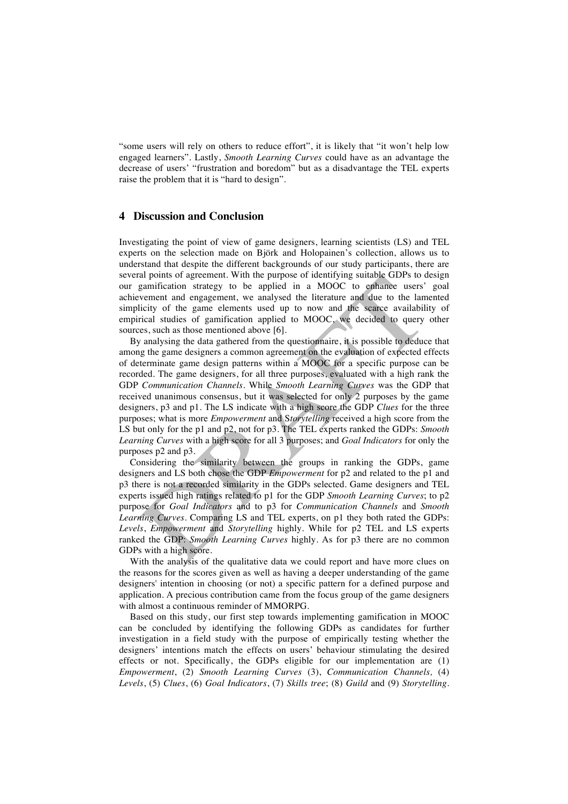"some users will rely on others to reduce effort", it is likely that "it won't help low engaged learners". Lastly, *Smooth Learning Curves* could have as an advantage the decrease of users' "frustration and boredom" but as a disadvantage the TEL experts raise the problem that it is "hard to design".

# **4 Discussion and Conclusion**

Investigating the point of view of game designers, learning scientists (LS) and TEL experts on the selection made on Björk and Holopainen's collection, allows us to understand that despite the different backgrounds of our study participants, there are several points of agreement. With the purpose of identifying suitable GDPs to design our gamification strategy to be applied in a MOOC to enhance users' goal achievement and engagement, we analysed the literature and due to the lamented simplicity of the game elements used up to now and the scarce availability of empirical studies of gamification applied to MOOC, we decided to query other sources, such as those mentioned above [6].

By analysing the data gathered from the questionnaire, it is possible to deduce that among the game designers a common agreement on the evaluation of expected effects of determinate game design patterns within a MOOC for a specific purpose can be recorded. The game designers, for all three purposes, evaluated with a high rank the GDP *Communication Channels*. While *Smooth Learning Curves* was the GDP that received unanimous consensus, but it was selected for only 2 purposes by the game designers, p3 and p1. The LS indicate with a high score the GDP *Clues* for the three purposes; what is more *Empowerment* and S*torytelling* received a high score from the LS but only for the p1 and p2, not for p3. The TEL experts ranked the GDPs: *Smooth Learning Curves* with a high score for all 3 purposes; and *Goal Indicators* for only the purposes p2 and p3.

Considering the similarity between the groups in ranking the GDPs, game designers and LS both chose the GDP *Empowerment* for p2 and related to the p1 and p3 there is not a recorded similarity in the GDPs selected. Game designers and TEL experts issued high ratings related to p1 for the GDP *Smooth Learning Curves*; to p2 purpose for *Goal Indicators* and to p3 for *Communication Channels* and *Smooth Learning Curves*. Comparing LS and TEL experts, on p1 they both rated the GDPs: *Levels*, *Empowerment* and *Storytelling* highly. While for p2 TEL and LS experts ranked the GDP: *Smooth Learning Curves* highly. As for p3 there are no common GDPs with a high score.

With the analysis of the qualitative data we could report and have more clues on the reasons for the scores given as well as having a deeper understanding of the game designers' intention in choosing (or not) a specific pattern for a defined purpose and application. A precious contribution came from the focus group of the game designers with almost a continuous reminder of MMORPG.

Based on this study, our first step towards implementing gamification in MOOC can be concluded by identifying the following GDPs as candidates for further investigation in a field study with the purpose of empirically testing whether the designers' intentions match the effects on users' behaviour stimulating the desired effects or not. Specifically, the GDPs eligible for our implementation are (1) *Empowerment*, (2) *Smooth Learning Curves* (3), *Communication Channels,* (4) *Levels*, (5) *Clues*, (6) *Goal Indicators*, (7) *Skills tree*; (8) *Guild* and (9) *Storytelling*.